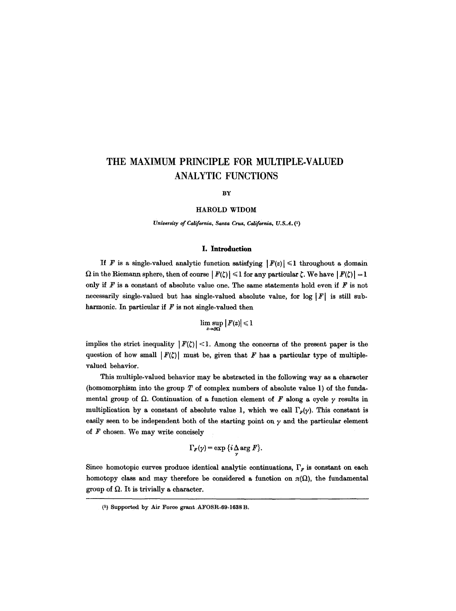# **THE MAXIMUM PRINCIPLE FOR MULTIPLE-VALUED ANALYTIC FUNCTIONS**

BY

#### HAROLD WIDOM

*University of California, Santa Cruz, California, U.S.A. (1)* 

## **I. Introduction**

If F is a single-valued analytic function satisfying  $|F(z)| \leq 1$  throughout a domain  $\Omega$  in the Riemann sphere, then of course  $|F(\zeta)| \leq 1$  for any particular  $\zeta$ . We have  $|F(\zeta)| = 1$ only if  $F$  is a constant of absolute value one. The same statements hold even if  $F$  is not necessarily single-valued but has single-valued absolute value, for log  $|F|$  is still subharmonic. In particular if  $F$  is not single-valued then

$$
\limsup_{z\to\partial\Omega}|F(z)|\leqslant 1
$$

implies the strict inequality  $|F(\zeta)| < 1$ . Among the concerns of the present paper is the question of how small  $|F(\zeta)|$  must be, given that F has a particular type of multiplevalued behavior.

This multiple-valued behavior may be abstracted in the following way as a character (homomorphism into the group  $T$  of complex numbers of absolute value 1) of the fundamental group of  $\Omega$ . Continuation of a function element of F along a cycle  $\gamma$  results in multiplication by a constant of absolute value 1, which we call  $\Gamma_F(y)$ . This constant is easily seen to be independent both of the starting point on  $\gamma$  and the particular element of  $F$  chosen. We may write concisely

$$
\Gamma_F(\gamma) = \exp\left\{i \Delta \arg F\right\}.
$$

Since homotopic curves produce identical analytic continuations,  $\Gamma<sub>F</sub>$  is constant on each homotopy class and may therefore be considered a function on  $\pi(\Omega)$ , the fundamental group of  $\Omega$ . It is trivially a character.

 $(1)$  Supported by Air Force grant AFOSR-69-1638 B.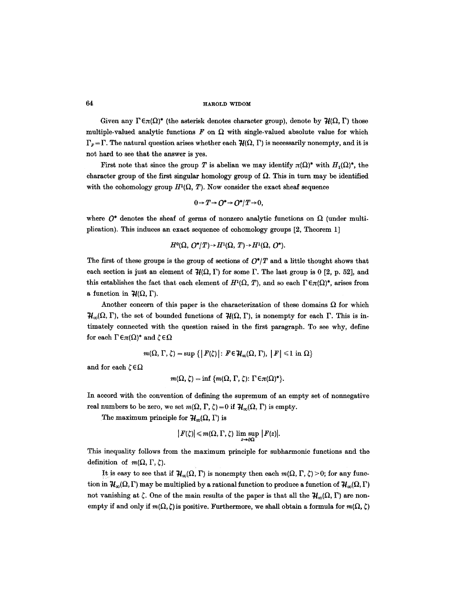64 **IFAROLD WIDOM** 

Given any  $\Gamma \in \pi(\Omega)^*$  (the asterisk denotes character group), denote by  $\mathcal{H}(\Omega, \Gamma)$  those multiple-valued analytic functions  $F$  on  $\Omega$  with single-valued absolute value for which  $\Gamma_F = \Gamma$ . The natural question arises whether each  $\mathcal{H}(\Omega, \Gamma)$  is necessarily nonempty, and it is not hard to see that the answer is yes.

First note that since the group T is abelian we may identify  $\pi(\Omega)^*$  with  $H_1(\Omega)^*$ , the character group of the first singular homology group of  $\Omega$ . This in turn may be identified with the cohomology group  $H^1(\Omega, T)$ . Now consider the exact sheaf sequence

$$
0 \to T \to O^* \to O^*/T \to 0,
$$

where  $O^*$  denotes the sheaf of germs of nonzero analytic functions on  $\Omega$  (under multiplication). This induces an exact sequence of cohomology groups [2, Theorem 1]

$$
H^0(\Omega, O^*/T) \to H^1(\Omega, T) \to H^1(\Omega, O^*).
$$

The first of these groups is the group of sections of  $O^*/T$  and a little thought shows that each section is just an element of  $\mathcal{H}(\Omega, \Gamma)$  for some  $\Gamma$ . The last group is 0 [2, p. 52], and this establishes the fact that each element of  $H^1(\Omega, T)$ , and so each  $\Gamma \in \pi(\Omega)^*$ , arises from a function in  $\mathcal{H}(\Omega, \Gamma)$ .

Another concern of this paper is the characterization of these domains  $\Omega$  for which  $\mathcal{H}_{\infty}(\Omega, \Gamma)$ , the set of bounded functions of  $\mathcal{H}(\Omega, \Gamma)$ , is nonempty for each  $\Gamma$ . This is intimately connected with the question raised in the first paragraph. To see why, define for each  $\Gamma \in \pi(\Omega)^*$  and  $\zeta \in \Omega$ 

$$
m(\Omega, \Gamma, \zeta) = \sup \{ |F(\zeta)| : F \in \mathcal{H}_{\infty}(\Omega, \Gamma), |F| \leq 1 \text{ in } \Omega \}
$$

and for each  $\zeta \in \Omega$ 

$$
m(\Omega, \zeta) = \inf \{ m(\Omega, \Gamma, \zeta): \Gamma \in \pi(\Omega)^* \}.
$$

In accord with the convention of defining the supremum of an empty set of nonnegative real numbers to be zero, we set  $m(\Omega, \Gamma, \zeta) = 0$  if  $\mathcal{H}_{\infty}(\Omega, \Gamma)$  is empty.

The maximum principle for  $H_{\infty}(\Omega, \Gamma)$  is

$$
|F(\zeta)| \leq m(\Omega, \Gamma, \zeta) \limsup_{z \to 0\Omega} |F(z)|.
$$

This inequality follows from the maximum principle for subharmonic functions and the definition of  $m(\Omega, \Gamma, \zeta)$ .

It is easy to see that if  $H_{\infty}(\Omega, \Gamma)$  is nonempty then each  $m(\Omega, \Gamma, \zeta) > 0$ ; for any function in  $H_{\infty}(\Omega, \Gamma)$  may be multiplied by a rational function to produce a function of  $H_{\infty}(\Omega, \Gamma)$ not vanishing at  $\zeta$ . One of the main results of the paper is that all the  $H_{\infty}(\Omega, \Gamma)$  are nonempty if and only if  $m(\Omega, \zeta)$  is positive. Furthermore, we shall obtain a formula for  $m(\Omega, \zeta)$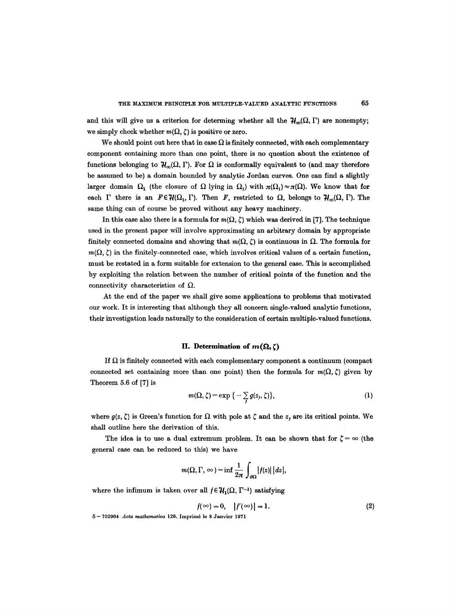and this will give us a criterion for determing whether all the  $H_{\infty}(\Omega, \Gamma)$  are nonempty; we simply check whether  $m(\Omega, \zeta)$  is positive or zero.

We should point out here that in case  $\Omega$  is finitely connected, with each complementary component containing more than one point, there is no question about the existence of functions belonging to  $\mathcal{H}_n(\Omega, \Gamma)$ . For  $\Omega$  is conformally equivalent to (and may therefore be assumed to be) a domain bounded by analytic Jordan curves. One can find a slightly larger domain  $\Omega_1$  (the closure of  $\Omega$  lying in  $\Omega_1$ ) with  $\pi(\Omega_1) \approx \pi(\Omega)$ . We know that for each  $\Gamma$  there is an  $F \in \mathcal{H}(\Omega_1, \Gamma)$ . Then *F*, restricted to  $\Omega$ , belongs to  $\mathcal{H}_{\infty}(\Omega, \Gamma)$ . The same thing can of course be proved without any heavy machinery.

In this case also there is a formula for  $m(\Omega, \zeta)$  which was derived in [7]. The technique used in the present paper will involve approximating an arbitrary domain by appropriate finitely connected domains and showing that  $m(\Omega, \zeta)$  is continuous in  $\Omega$ . The formula for  $m(\Omega, \zeta)$  in the finitely-connected case, which involves critical values of a certain function, must be restated in a form suitable for extension to the general case. This is accomplished by exploiting the relation between the number of critical points of the function and the connectivity characteristics of  $\Omega$ .

At the end of the paper we shall give some applications to problems that motivated our work. It is interesting that although they all concern single-valued analytic functions, their investigation leads naturally to the consideration of certain multiple-vahied functions.

#### **II.** Determination of  $m(\Omega, \zeta)$

If  $\Omega$  is finitely connected with each complementary component a continuum (compact connected set containing more than one point) then the formula for  $m(\Omega, \zeta)$  given by Theorem 5.6 of [7] is

$$
m(\Omega,\zeta)=\exp\big\{-\sum g(z_j,\zeta)\big\},\qquad \qquad (1)
$$

where  $g(z, \zeta)$  is Green's function for  $\Omega$  with pole at  $\zeta$  and the  $z_i$  are its critical points. We shall outline here the derivation of this.

I

The idea is to use a dual extremum problem. It can be shown that for  $\zeta = \infty$  (the general case can be reduced to this) we have

$$
m(\Omega,\Gamma,\,\infty)=\inf\frac{1}{2\pi}\int_{\partial\Omega}\big|f(z)\big|\,\big|dz\big|,
$$

where the infimum is taken over all  $f \in \mathcal{H}_1(\Omega, \Gamma^{-1})$  satisfying

$$
f(\infty) = 0, \quad |f'(\infty)| = 1. \tag{2}
$$

5 -- 702904 *Acta mathematlca* 126. Imprim6 le 8 Janvier 1971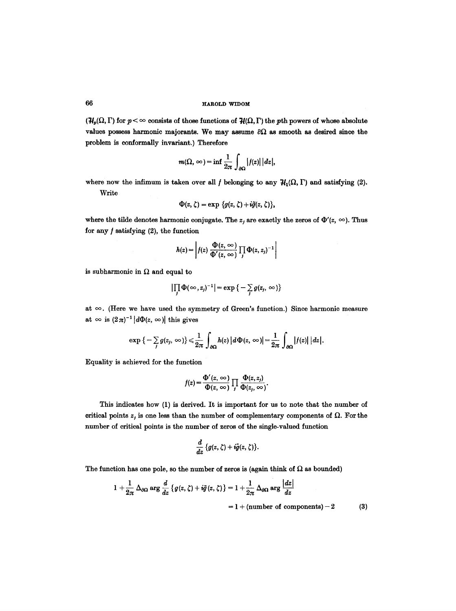## 66 **RAACLD WIDOM**

 $(\mathcal{H}_p(\Omega, \Gamma))$  for  $p < \infty$  consists of those functions of  $\mathcal{H}(\Omega, \Gamma)$  the *p*th powers of whose absolute values possess harmonic majorants. We may assume  $\partial\Omega$  as smooth as desired since the problem is conformally invariant.) Therefore

$$
m(\Omega,\infty)=\inf\frac{1}{2\pi}\int_{\partial\Omega}|f(z)||dz|,
$$

where now the infimum is taken over all f belonging to any  $H_1(\Omega, \Gamma)$  and satisfying (2). Write

$$
\Phi(z,\zeta)=\exp\left\{g(z,\zeta)+i\tilde{g}(z,\zeta)\right\},\,
$$

where the tilde denotes harmonic conjugate. The  $z_j$  are exactly the zeros of  $\Phi'(z, \infty)$ . Thus for any  $f$  satisfying  $(2)$ , the function

$$
h(z) = \left| f(z) \frac{\Phi(z, \infty)}{\Phi'(z, \infty)} \prod_j \Phi(z, z_j)^{-1} \right|
$$

is subharmonic in  $\Omega$  and equal to

$$
\left|\prod_j \Phi(\infty,z_j)^{-1}\right| = \exp\left\{-\sum_j g(z_j,\infty)\right\}
$$

at  $\infty$ . (Here we have used the symmetry of Green's function.) Since harmonic measure at  $\infty$  is  $(2\pi)^{-1}$   $d\Phi(z, \infty)$  this gives

$$
\exp\big\{-\sum_j g(z_j,\,\infty)\big\}\leq \frac{1}{2\pi}\int_{\partial\Omega}h(z)\,\big|d\,\Phi(z,\,\infty\big)\big|=\frac{1}{2\pi}\int_{\partial\Omega}|f(z)|\,\big|\,dz\big|.
$$

Equality is achieved for the function

$$
f(z) = \frac{\Phi'(z, \infty)}{\Phi(z, \infty)} \prod_j \frac{\Phi(z, z_j)}{\Phi(z_j, \infty)}.
$$

This indicates how (1) is derived. It is important for us to note that the number of critical points  $z_i$  is one less than the number of complementary components of  $\Omega$ . For the number of critical points is the number of zeros of the single-valued function

$$
\frac{d}{dz}\left\{g(z,\zeta)+i\tilde{g}(z,\zeta)\right\}.
$$

The function has one pole, so the number of zeros is (again think of  $\Omega$  as bounded)

$$
1 + \frac{1}{2\pi} \Delta_{\partial\Omega} \arg \frac{d}{dz} \left\{ g(z, \zeta) + i\tilde{g}(z, \zeta) \right\} = 1 + \frac{1}{2\pi} \Delta_{\partial\Omega} \arg \frac{|dz|}{dz}
$$
  
= 1 + (number of components) - 2 (3)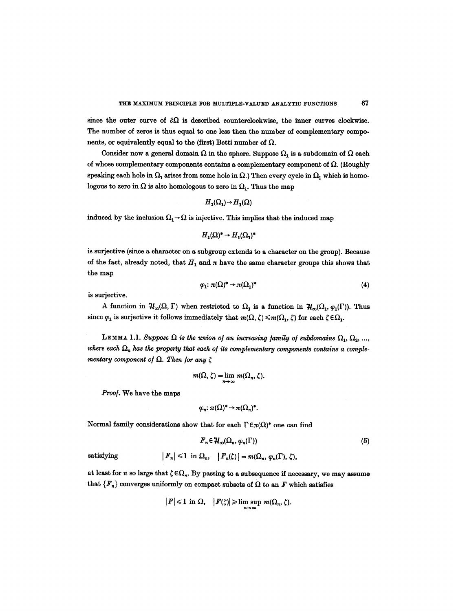since the outer curve of  $\partial\Omega$  is described counterclockwise, the inner curves clockwise. The number of zeros is thus equal to one less then the number of complementary components, or equivalently equal to the (first) Betti number of  $\Omega$ .

Consider now a general domain  $\Omega$  in the sphere. Suppose  $\Omega_1$  is a subdomain of  $\Omega$  each of whose complementary components contains a complementary component of  $\Omega$ . (Roughly speaking each hole in  $\Omega_1$  arises from some hole in  $\Omega$ .) Then every cycle in  $\Omega_1$  which is homologous to zero in  $\Omega$  is also homologous to zero in  $\Omega_1$ . Thus the map

$$
H_1(\Omega_1) \rightarrow H_1(\Omega)
$$

induced by the inclusion  $\Omega_1 \rightarrow \Omega$  is injective. This implies that the induced map

$$
H_1(\Omega)^* \to H_1(\Omega_1)^*
$$

is surjeetive (since a character on a subgroup extends to a character on the group). Because of the fact, already noted, that  $H_1$  and  $\pi$  have the same character groups this shows that the map

$$
\varphi_1: \pi(\Omega)^* \to \pi(\Omega_1)^* \tag{4}
$$

is surjective.

A function in  $H_{\infty}(\Omega, \Gamma)$  when restricted to  $\Omega_1$  is a function in  $H_{\infty}(\Omega_1, \varphi_1(\Gamma))$ . Thus since  $\varphi_1$  is surjective it follows immediately that  $m(\Omega, \zeta) \leq m(\Omega_1, \zeta)$  for each  $\zeta \in \Omega_1$ .

LEMMA 1.1. Suppose  $\Omega$  is the union of an increasing family of subdomains  $\Omega_1, \Omega_2, ...,$ where each  $\Omega_n$  has the property that each of its complementary components contains a comple*mentary component of*  $\Omega$ *. Then for any*  $\zeta$ 

$$
m(\Omega,\zeta)=\lim_{n\to\infty}m(\Omega_n,\zeta).
$$

*Proo].* We have the maps

$$
\varphi_n: \pi(\Omega)^* \to \pi(\Omega_n)^*.
$$

Normal family considerations show that for each  $\Gamma \in \pi(\Omega)^*$  one can find

$$
F_n \in \mathcal{H}_\infty(\Omega_n, \varphi_n(\Gamma)) \tag{5}
$$

satisfying 
$$
|F_n| \leq 1
$$
 in  $\Omega_n$ ,  $|F_n(\zeta)| = m(\Omega_n, \varphi_n(\Gamma), \zeta)$ ,

at least for n so large that  $\zeta \in \Omega_n$ . By passing to a subsequence if necessary, we may assume that  ${F_n}$  converges uniformly on compact subsets of  $\Omega$  to an F which satisfies

$$
|F| \leq 1 \text{ in } \Omega, \quad |F(\zeta)| \geqslant \limsup_{n \to \infty} m(\Omega_n, \zeta).
$$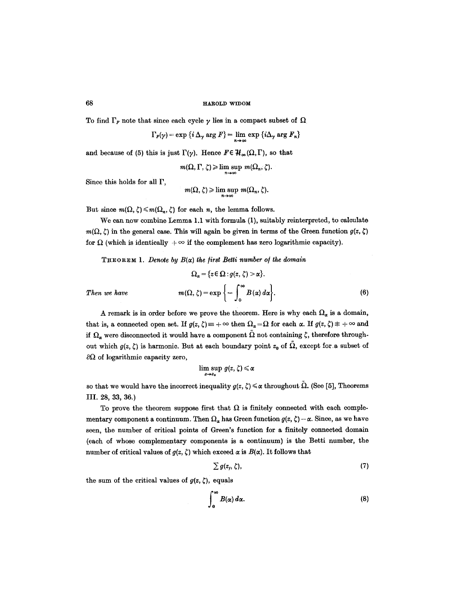To find  $\Gamma_F$  note that since each cycle  $\gamma$  lies in a compact subset of  $\Omega$ .

$$
\Gamma_F(\gamma) = \exp \left\{ i \Delta_\gamma \arg F \right\} = \lim_{n \to \infty} \exp \left\{ i \Delta_\gamma \arg F_n \right\}
$$

and because of (5) this is just  $\Gamma(\gamma)$ . Hence  $F \in \mathcal{H}_{\infty}(\Omega,\Gamma)$ , so that

$$
m(\Omega,\Gamma,\zeta) \geq \limsup_{n\to\infty} m(\Omega_n,\zeta).
$$

Since this holds for all  $\Gamma$ ,

$$
m(\Omega,\zeta) \geqslant \limsup_{n\to\infty} m(\Omega_n,\zeta).
$$

But since  $m(\Omega, \zeta) \leq m(\Omega_n, \zeta)$  for each n, the lemma follows.

We can now combine Lemma 1.1 with formula (1), suitably reinterpreted, to calculate  $m(\Omega, \zeta)$  in the general case. This will again be given in terms of the Green function  $g(z, \zeta)$ for  $\Omega$  (which is identically  $+\infty$  if the complement has zero logarithmic capacity).

**THEOREM 1.** *Denote by B(* $\alpha$ *) the first Betti number of the domain* 

$$
\Omega_{\alpha} = \{ z \in \Omega : g(z, \zeta) > \alpha \}.
$$
  
Then we have 
$$
m(\Omega, \zeta) = \exp \left\{ - \int_{0}^{\infty} B(\alpha) d\alpha \right\}.
$$
 (6)

A remark is in order before we prove the theorem. Here is why each  $\Omega_{\alpha}$  is a domain, that is, a connected open set. If  $g(z, \zeta) = +\infty$  then  $\Omega_{\alpha} = \Omega$  for each  $\alpha$ . If  $g(z, \zeta) \neq +\infty$  and if  $\Omega_a$  were disconnected it would have a component  $\Omega$  not containing  $\zeta$ , therefore throughout which  $g(z, \zeta)$  is harmonic. But at each boundary point  $z_0$  of  $\tilde{\Omega}$ , except for a subset of  $\partial\Omega$  of logarithmic capacity zero,

$$
\limsup_{z\to z_0} g(z,\zeta)\leqslant \alpha
$$

so that we would have the incorrect inequality  $g(z, \zeta) \leq \alpha$  throughout  $\Omega$ . (See [5], Theorems III. 28, 33, 36.)

To prove the theorem suppose first that  $\Omega$  is finitely connected with each complementary component a continuum. Then  $\Omega_{\alpha}$  has Green function  $g(z, \zeta) - \alpha$ . Since, as we have seen, the number of critical points of Green's function for a finitely connected domain (each of whose complementary components is a continuum) is the Betti number, the number of critical values of  $g(z, \zeta)$  which exceed  $\alpha$  is  $B(\alpha)$ . It follows that

$$
\sum g(z_j, \zeta), \qquad (7)
$$

the sum of the critical values of  $g(z, \zeta)$ , equals

$$
\int_0^\infty B(\alpha)\,d\alpha.\tag{8}
$$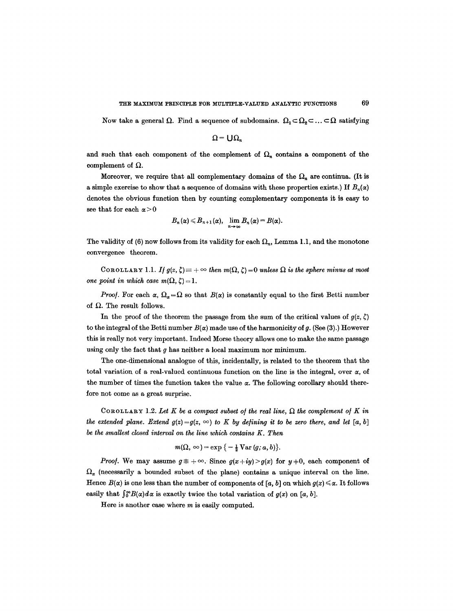Now take a general  $\Omega$ . Find a sequence of subdomains.  $\Omega_1 \subset \Omega_2 \subset \ldots \subset \Omega$  satisfying

 $\Omega$  =  $\bigcup \Omega_n$ 

and such that each component of the complement of  $\Omega_n$  contains a component of the complement of  $\Omega$ .

Moreover, we require that all complementary domains of the  $\Omega_n$  are continua. (It is a simple exercise to show that a sequence of domains with these properties exists.) If  $B_n(x)$ denotes the obvious function then by counting complementary components it is easy to see that for each  $\alpha > 0$ 

$$
B_n(\alpha) \leqslant B_{n+1}(\alpha), \quad \lim_{n \to \infty} B_n(\alpha) = B(\alpha).
$$

The validity of (6) now follows from its validity for each  $\Omega_n$ , Lemma 1.1, and the monotone convergence theorem.

COROLLARY 1.1. *If*  $g(z, \zeta) = +\infty$  then  $m(\Omega, \zeta) = 0$  unless  $\Omega$  is the sphere minus at most *one point in which case*  $m(\Omega, \zeta) = 1$ *.* 

*Proof.* For each  $\alpha$ ,  $\Omega_{\alpha} = \Omega$  so that  $B(\alpha)$  is constantly equal to the first Betti number of  $\Omega$ . The result follows.

In the proof of the theorem the passage from the sum of the critical values of  $g(z, \zeta)$ to the integral of the Betti number  $B(\alpha)$  made use of the harmonicity of g. (See (3).) However this is really not veryimportant. Indeed Morse theory allows one to make the same passage using only the fact that  $g$  has neither a local maximum nor minimum.

The one-dimensional analogue of this, incidentally, is related to the theorem that the total variation of a real-valued continuous function on the line is the integral, over  $\alpha$ , of the number of times the function takes the value  $\alpha$ . The following corollary should therefore not come as a great surprise.

COROLLARY 1.2. Let K be a compact subset of the real line,  $\Omega$  the complement of K in *the extended plane. Extend g(z)=g(z,*  $\infty$ *) to K by defining it to be zero there, and let* [a, b] *be the smallest closed interval on the line which contains K. Then* 

$$
m(\Omega, \infty) = \exp\left\{-\frac{1}{2} \operatorname{Var}(g; a, b)\right\}.
$$

*Proof.* We may assume  $g \neq +\infty$ . Since  $g(x+iy) > g(x)$  for  $y \neq 0$ , each component of  $\Omega_{\alpha}$  (necessarily a bounded subset of the plane) contains a unique interval on the line. Hence  $B(x)$  is one less than the number of components of [a, b] on which  $g(x) \leq \alpha$ . It follows easily that  $\int_0^\infty B(\alpha) d\alpha$  is exactly twice the total variation of  $g(x)$  on [a, b].

Here is another case where  $m$  is easily computed.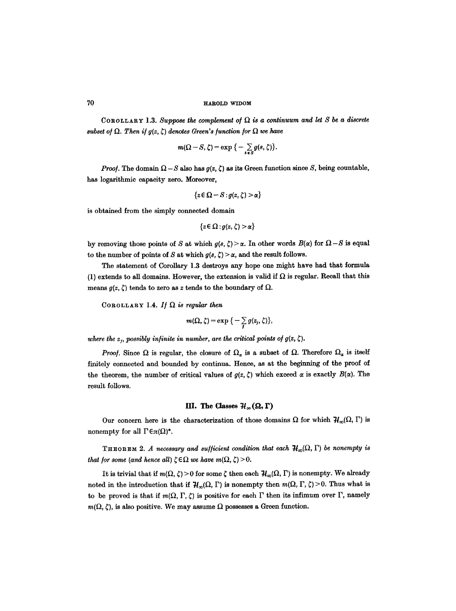COROLLARY 1.3. Suppose the complement of  $\Omega$  is a continuum and let S be a discrete *subset of*  $\Omega$ *. Then if*  $g(z, \zeta)$  *denotes Green's function for*  $\Omega$  *we have* 

$$
m(\Omega-S,\zeta)=\exp\big\{-\sum_{s\,\epsilon\,S}g(s,\zeta)\big\}.
$$

*Proof.* The domain  $\Omega - S$  also has  $g(z, \zeta)$  as its Green function since *S*, being countable, has logarithmic capacity zero. Moreover,

$$
\{z\in\Omega-S:g(z,\zeta)>\alpha\}
$$

is obtained from the simply connected domain

$$
\{z\!\in\!\Omega\!:\!g(z,\zeta)\!>\!\alpha\}
$$

by removing those points of S at which  $g(s, \zeta) > \alpha$ . In other words  $B(\alpha)$  for  $\Omega - S$  is equal to the number of points of S at which  $g(s, \zeta) > \alpha$ , and the result follows.

The statement of Corollary 1.3 destroys any hope one might have had that formula (1) extends to all domains. However, the extension is valid if  $\Omega$  is regular. Recall that this means  $g(z, \zeta)$  tends to zero as z tends to the boundary of  $\Omega$ .

COROLLARY 1.4. If  $\Omega$  is regular then

$$
m(\Omega,\zeta)=\exp\big\{-\sum_i g(z_j,\zeta)\big\},\,
$$

where the  $z_i$ , possibly infinite in number, are the critical points of  $g(z, \zeta)$ .

*Proof.* Since  $\Omega$  is regular, the closure of  $\Omega_a$  is a subset of  $\Omega$ . Therefore  $\Omega_a$  is itself finitely connected and bounded by continua. Hence, as at the beginning of the proof of the theorem, the number of critical values of  $g(z, \zeta)$  which exceed  $\alpha$  is exactly  $B(\alpha)$ . The result follows.

## **HI.** The Classes  $\mathcal{H}_{\infty}(\Omega, \Gamma)$

Our concern here is the characterization of those domains  $\Omega$  for which  $\mathcal{H}_{\infty}(\Omega, \Gamma)$  is nonempty for all  $\Gamma \in \pi(\Omega)^*$ .

THEOREM 2. A necessary and sufficient condition that each  $H_{\infty}(\Omega, \Gamma)$  be nonempty is *that for some (and hence all)*  $\zeta \in \Omega$  *we have m(* $\Omega$ ,  $\zeta$ ) > 0.

It is trivial that if  $m(\Omega, \zeta) > 0$  for some  $\zeta$  then each  $\mathcal{H}_{\infty}(\Omega, \Gamma)$  is nonempty. We already noted in the introduction that if  $H_{\infty}(\Omega, \Gamma)$  is nonempty then  $m(\Omega, \Gamma, \zeta) > 0$ . Thus what is to be proved is that if  $m(\Omega, \Gamma, \zeta)$  is positive for each  $\Gamma$  then its infimum over  $\Gamma$ , namely  $m(\Omega, \zeta)$ , is also positive. We may assume  $\Omega$  possesses a Green function.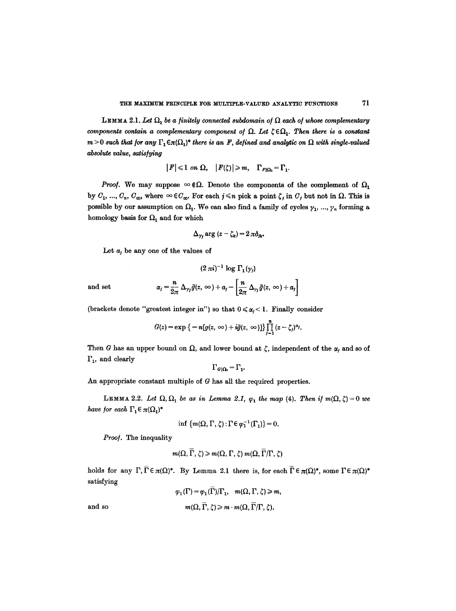LEMMA 2.1. Let  $\Omega_1$  be a finitely connected subdomain of  $\Omega$  each of whose complementary *components contain a complementary component of*  $\Omega$ *. Let*  $\zeta \in \Omega_1$ *. Then there is a constant*  $m>0$  such that for any  $\Gamma_1 \in \pi(\Omega_1)^*$  there is an F, defined and analytic on  $\Omega$  with single-valued *absolute value, satisfying* 

$$
|F| \leq 1 \ \text{on} \ \Omega, \quad |F(\zeta)| \geq m, \quad \Gamma_{F|\Omega_1} = \Gamma_1.
$$

*Proof.* We may suppose  $\infty$   $\in \Omega$ . Denote the components of the complement of  $\Omega_1$ by  $C_1, ..., C_n, C_{\infty}$ , where  $\infty \in C_{\infty}$ . For each  $j \leq n$  pick a point  $\zeta_j$  in  $C_j$  but not in  $\Omega$ . This is possible by our assumption on  $\Omega_1$ . We can also find a family of cycles  $\gamma_1, ..., \gamma_n$  forming a homology basis for  $\Omega_1$  and for which

$$
\Delta_{\gamma_i} \arg (z - \zeta_k) = 2 \pi \delta_{ik}.
$$

Let  $a_j$  be any one of the values of

$$
(2\,\pi i)^{-1}\,\log\,\Gamma_1(\gamma_j)
$$

**and set** 

$$
\alpha_j = \frac{n}{2\pi} \Delta_{\gamma_j} \tilde{g}(z, \infty) + a_j - \left[\frac{n}{2\pi} \Delta_{\gamma_j} \tilde{g}(z, \infty) + a_j\right]
$$

(brackets denote "greatest integer in") so that  $0 \le \alpha_i < 1$ . Finally consider

$$
G(z) = \exp \big\{-n[g(z, \infty) + i\tilde{g}(z, \infty)]\big\}\prod_{j=1}^n (z-\zeta_j)^{\alpha_j}.
$$

Then G has an upper bound on  $\Omega$ , and lower bound at  $\zeta$ , independent of the  $\alpha$ , and so of  $\Gamma_1$ , and clearly

$$
\Gamma_{G|\Omega_1} = \Gamma_1.
$$

An appropriate constant multiple of  $G$  has all the required properties.

LEMMA 2.2. Let  $\Omega$ ,  $\Omega_1$  be as in Lemma 2.1,  $\varphi_1$  the map (4). Then if  $m(\Omega, \zeta) = 0$  we *have for each*  $\Gamma_1 \in \pi(\Omega_1)^*$ 

$$
\inf \{m(\Omega,\Gamma,\zeta): \Gamma \in \varphi_1^{-1}(\Gamma_1)\}=0.
$$

*Proof.* The inequality

$$
m(\Omega, \overline{\Gamma}, \zeta) \geqslant m(\Omega, \Gamma, \zeta) m(\Omega, \overline{\Gamma}/\Gamma, \zeta)
$$

holds for any  $\Gamma, \overline{\Gamma} \in \pi(\Omega)^*$ . By Lemma 2.1 there is, for each  $\overline{\Gamma} \in \pi(\Omega)^*$ , some  $\Gamma \in \pi(\Omega)^*$ satisfying

$$
\varphi_1(\Gamma) = \varphi_1(\Gamma)/\Gamma_1, \quad m(\Omega, \Gamma, \zeta) \ge m,
$$
  
and so  

$$
m(\Omega, \overline{\Gamma}, \zeta) \ge m \cdot m(\Omega, \overline{\Gamma}/\Gamma, \zeta).
$$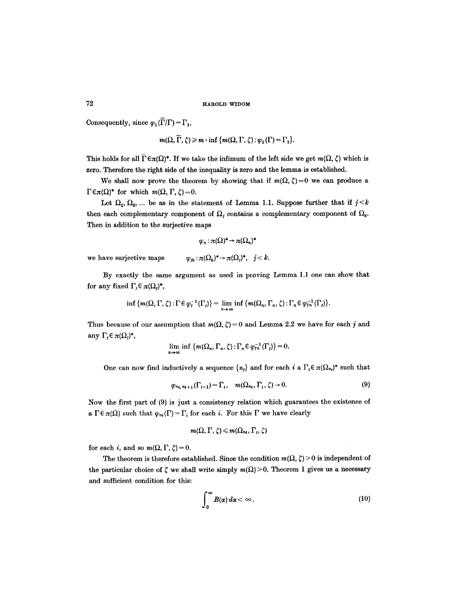Consequently, since  $\varphi_1(\overline{\Gamma}/\Gamma) = \Gamma_1$ ,

$$
m(\Omega, \overline{\Gamma}, \zeta) \geq m \cdot \inf \{m(\Omega, \Gamma, \zeta) : \varphi_1(\Gamma) = \Gamma_1\}.
$$

This holds for all  $\Gamma \in \pi(\Omega)^*$ . If we take the infimum of the left side we get  $m(\Omega, \zeta)$  which is zero. Therefore the right side of the inequality is zero and the lemma is established.

We shall now prove the theorem by showing that if  $m(\Omega, \zeta)=0$  we can produce a  $\Gamma \in \pi(\Omega)^*$  for which  $m(\Omega, \Gamma, \zeta) = 0$ .

Let  $\Omega_1, \Omega_2, ...$  be as in the statement of Lemma 1.1. Suppose further that if  $j \leq k$ then each complementary component of  $\Omega_i$  contains a complementary component of  $\Omega_k$ . Then in addition to the surjective maps

$$
\varphi_n : \pi(\Omega)^* \to \pi(\Omega_n)^*
$$

we have surjective maps  $\varphi_{ik} : \pi(\Omega_k)^* \to \pi(\Omega_i)^*, ~ j < k.$ 

By exactly the same argument as used in proving Lemma 1.1 one can show that for any fixed  $\Gamma_i \in \pi(\Omega_i)^*$ ,

$$
\inf \{m(\Omega,\Gamma,\zeta):\Gamma\in \varphi_j^{-1}(\Gamma_j)\}=\lim_{n\to\infty}\inf \{m(\Omega_n,\Gamma_n,\zeta):\Gamma_n\in \varphi_{jn}^{-1}(\Gamma_j)\}.
$$

Thus because of our assumption that  $m(\Omega, \zeta) = 0$  and Lemma 2.2 we have for each j and any  $\Gamma_j \in \pi(\Omega_j)^*$ ,

$$
\lim_{n\to\infty}\inf\,\{m(\Omega_n,\Gamma_n,\zeta):\Gamma_n\in\varphi_{1n}^{-1}(\Gamma_j)\}=0.
$$

One can now find inductively a sequence  $\{n_i\}$  and for each i a  $\Gamma_i \in \pi(\Omega_{n_i})^*$  such that

$$
\varphi_{n_i, n_{i+1}}(\Gamma_{i+1}) = \Gamma_i, \quad m(\Omega_{n_i}, \Gamma_i, \zeta) \to 0. \tag{9}
$$

Now the first part of (9) is just a consistency relation which guarantees the existence of a  $\Gamma \in \pi(\Omega)$  such that  $\varphi_m(\Gamma) = \Gamma_i$  for each i. For this  $\Gamma$  we have clearly

$$
m(\Omega,\Gamma,\zeta)\leqslant m(\Omega_{n_i},\Gamma_i,\zeta)
$$

for each i, and so  $m(\Omega, \Gamma, \zeta) = 0$ .

The theorem is therefore established. Since the condition  $m(\Omega, \zeta) > 0$  is independent of the particular choice of  $\zeta$  we shall write simply  $m(\Omega) > 0$ . Theorem 1 gives us a necessary and sufficient condition for this:

$$
\int_0^\infty B(\alpha)\,d\alpha < \infty\,. \tag{10}
$$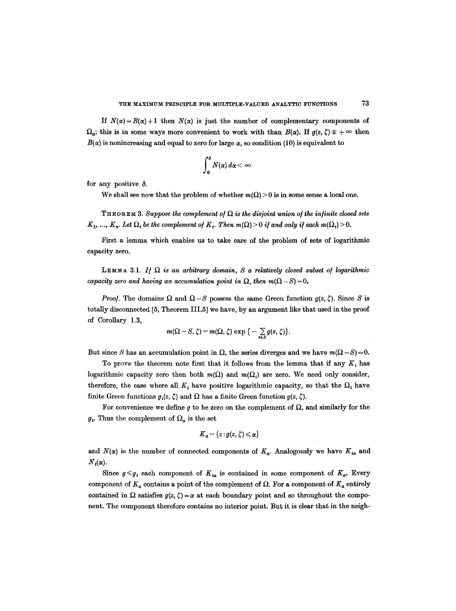If  $N(\alpha) = B(\alpha) + 1$  then  $N(\alpha)$  is just the number of complementary components of  $\Omega_a$ ; this is in some ways more convenient to work with than  $B(\alpha)$ . If  $g(z, \zeta) \neq +\infty$  then  $B(\alpha)$  is nonincreasing and equal to zero for large  $\alpha$ , so condition (10) is equivalent to

$$
\int_0^\delta N(\alpha)\,d\alpha < \infty
$$

for any positive  $\delta$ .

We shall see now that the problem of whether  $m(\Omega) > 0$  is in some sense a local one.

THEOREM 3. Suppose the complement of  $\Omega$  is the disjoint union of the infinite closed sets  $K_1, ..., K_n$ . Let  $\Omega_i$  be the complement of  $K_i$ . Then  $m(\Omega) > 0$  *if and only if each*  $m(\Omega_i) > 0$ .

First a lemma which enables us to take care of the problem of sets of logarithmic capacity zero.

LEMMA 3.1. If  $\Omega$  is an arbitrary domain, S a relatively closed subset of logarithmic *capacity zero and having an accumulation point in*  $\Omega$ *, then m(* $\Omega - S$ *) = 0.* 

*Proof.* The domains  $\Omega$  and  $\Omega - S$  possess the same Green function  $g(z, \zeta)$ . Since S is totally disconnected [5, Theorem III.5] we have, by an argument like that used in the proof of Corollary 1.3,

$$
m(\Omega - S, \zeta) = m(\Omega, \zeta) \exp \big\{ - \sum_{s \in S} g(s, \zeta) \big\}.
$$

But since S has an accumulation point in  $\Omega$ , the series diverges and we have  $m(\Omega - S) = 0$ .

To prove the theorem note first that it follows from the lemma that if any  $K_i$ , has logarithmic capacity zero then both  $m(\Omega)$  and  $m(\Omega_i)$  are zero. We need only consider, therefore, the case where all  $K_i$  have positive logarithmic capacity, so that the  $\Omega_i$  have finite Green functions  $g_i(z, \zeta)$  and  $\Omega$  has a finite Green function  $g(z, \zeta)$ .

For convenience we define g to be zero on the complement of  $\Omega$ , and similarly for the  $g_i$ . Thus the complement of  $\Omega_a$  is the set

$$
K_{\alpha} = \{z: g(z, \zeta) \leq \alpha\}
$$

and  $N(\alpha)$  is the number of connected components of  $K_{\alpha}$ . Analogously we have  $K_{i\alpha}$  and  $N_i(\alpha)$ .

Since  $g \leq g_{i}$  each component of  $K_{i\alpha}$  is contained in some component of  $K_{\alpha}$ . Every component of  $K_{\alpha}$  contains a point of the complement of  $\Omega$ . For a component of  $K_{\alpha}$  entirely contained in  $\Omega$  satisfies  $g(z, \zeta) = \alpha$  at each boundary point and so throughout the component. The component therefore contains no interior point. But it is clear that in the neigh-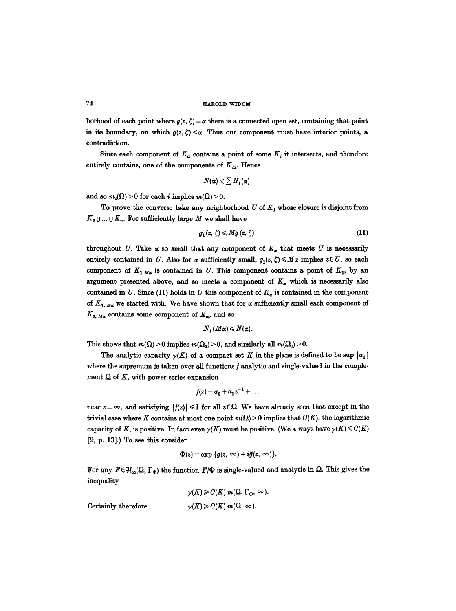borhood of each point where  $g(z, \zeta) = \alpha$  there is a connected open set, containing that point in its boundary, on which  $g(z, \zeta) < \alpha$ . Thus our component must have interior points, a contradiction.

Since each component of  $K_{\alpha}$  contains a point of some  $K_{i}$  it intersects, and therefore entirely contains, one of the components of  $K_{ia}$ . Hence

$$
N(\alpha) \leqslant \sum N_i(\alpha)
$$

and so  $m_i(\Omega) > 0$  for each i implies  $m(\Omega) > 0$ .

To prove the converse take any neighborhood  $U$  of  $K<sub>1</sub>$  whose closure is disjoint from  $K_2 \cup ... \cup K_n$ . For sufficiently large M we shall have

$$
g_1(z,\zeta) \leqslant Mg(z,\zeta) \tag{11}
$$

throughout U. Take  $\alpha$  so small that any component of  $K_{\alpha}$  that meets U is necessarily entirely contained in U. Also for  $\alpha$  sufficiently small,  $g_1(z, \zeta) \leq M\alpha$  implies  $z \in U$ , so each component of  $K_{1,M_\alpha}$  is contained in U. This component contains a point of  $K_1$ , by an argument presented above, and so meets a component of  $K_a$  which is necessarily also contained in U. Since (11) holds in U this component of  $K_{\alpha}$  is contained in the component of  $K_{1, M_{\alpha}}$  we started with. We have shown that for  $\alpha$  sufficiently small each component of  $K_{1, M\alpha}$  contains some component of  $K_{\alpha}$ , and so

$$
N_1(M\alpha) \leq N(\alpha).
$$

This shows that  $m(\Omega) > 0$  implies  $m(\Omega_1) > 0$ , and similarly all  $m(\Omega_i) > 0$ .

The analytic capacity  $\gamma(K)$  of a compact set K in the plane is defined to be sup  $[a_1]$ where the supremum is taken over all functions  $f$  analytic and single-valued in the complement  $\Omega$  of K, with power series expansion

$$
f(z) = a_0 + a_1 z^{-1} + \dots
$$

near  $z = \infty$ , and satisfying  $|f(z)| \leq 1$  for all  $z \in \Omega$ . We have already seen that except in the trivial case where K contains at most one point  $m(\Omega) > 0$  implies that  $C(K)$ , the logarithmic capacity of K, is positive. In fact even  $\gamma(K)$  must be positive. (We always have  $\gamma(K) \leq C(K)$ [9, p. 13].) To see this consider

$$
\Phi(z)=\exp\{g(z,\,\infty)+i\tilde{g}(z,\,\infty)\}.
$$

For any  $F \in \mathcal{H}_{\infty}(\Omega, \Gamma_{\Phi})$  the function  $F/\Phi$  is single-valued and analytic in  $\Omega$ . This gives the inequality

$$
\gamma(K) \geqslant C(K) m(\Omega, \Gamma_{\Phi}, \infty).
$$

Certainly therefore  $\gamma(K) \ge C(K) m(\Omega, \infty).$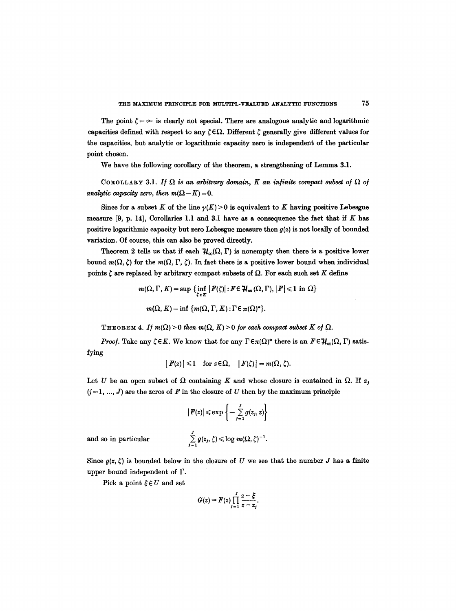The point  $\zeta = \infty$  is clearly not special. There are analogous analytic and logarithmic capacities defined with respect to any  $\zeta \in \Omega$ . Different  $\zeta$  generally give different values for the capacities, but analytic or logarithmic capacity zero is independent of the particular point chosen.

We have the following corollary of the theorem, a strengthening of Lemma 3.1.

COROLLARY 3.1. If  $\Omega$  is an arbitrary domain, K an infinite compact subset of  $\Omega$  of *analytic capacity zero, then*  $m(\Omega - K) = 0$ .

Since for a subset K of the line  $\gamma(K) > 0$  is equivalent to K having positive Lebesgue measure  $[9, p. 14]$ , Corollaries 1.1 and 3.1 have as a consequence the fact that if K has positive logarithmic capacity but zero Lebesgue measure then *g(z)* is not locally of bounded variation. Of course, this can also be proved directly.

Theorem 2 tells us that if each  $H_{\infty}(\Omega, \Gamma)$  is nonempty then there is a positive lower bound  $m(\Omega, \zeta)$  for the  $m(\Omega, \Gamma, \zeta)$ . In fact there is a positive lower bound when individual points  $\zeta$  are replaced by arbitrary compact subsets of  $\Omega$ . For each such set K define

$$
m(\Omega, \Gamma, K) = \sup \{ \inf_{\zeta \in K} |F(\zeta)| : F \in \mathcal{H}_{\infty}(\Omega, \Gamma), |F| \leq 1 \text{ in } \Omega \}
$$

$$
m(\Omega, K) = \inf \{ m(\Omega, \Gamma, K) : \Gamma \in \pi(\Omega)^{*} \}.
$$

THEOREM 4. If  $m(\Omega) > 0$  then  $m(\Omega, K) > 0$  for each compact subset K of  $\Omega$ .

*Proof.* Take any  $\zeta \in K$ . We know that for any  $\Gamma \in \pi(\Omega)^*$  there is an  $F \in \mathcal{H}_{\infty}(\Omega, \Gamma)$  satisfying

$$
|F(z)| \leq 1 \quad \text{for } z \in \Omega, \quad |F(\zeta)| = m(\Omega, \zeta).
$$

Let U be an open subset of  $\Omega$  containing K and whose closure is contained in  $\Omega$ . If z,  $(j = 1, ..., J)$  are the zeros of F in the closure of U then by the maximum principle

$$
|F(z)| \le \exp\left\{-\sum_{j=1}^J g(z_j, z)\right\}
$$
  

$$
\sum_{j=1}^J g(z_j, \zeta) \le \log m(\Omega, \zeta)^{-1}.
$$

and so in particular

Since  $g(z, \zeta)$  is bounded below in the closure of U we see that the number J has a finite upper bound independent of F.

Pick a point  $\xi \notin U$  and set

$$
G(z) = F(z) \prod_{j=1}^J \frac{z-\xi}{z-z_j}.
$$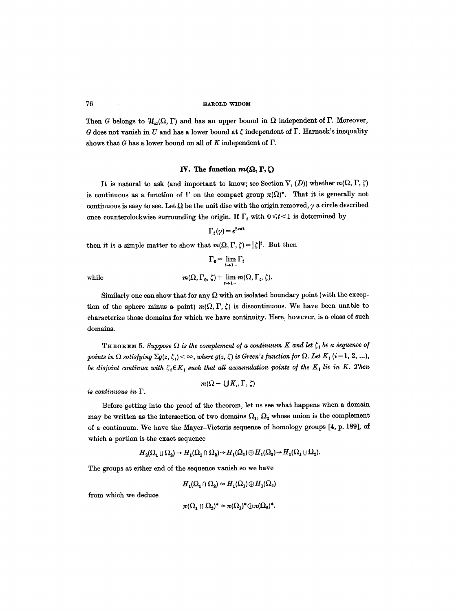76 1: THE TERROLD WIDOM

Then G belongs to  $H_{\infty}(\Omega, \Gamma)$  and has an upper bound in  $\Omega$  independent of  $\Gamma$ . Moreover, G does not vanish in U and has a lower bound at  $\zeta$  independent of  $\Gamma$ . Harnack's inequality shows that G has a lower bound on all of K independent of  $\Gamma$ .

#### **IV.** The function  $m(\Omega, \Gamma, \zeta)$

It is natural to ask (and important to know; see Section V,  $(D)$ ) whether  $m(\Omega, \Gamma, \zeta)$ is continuous as a function of  $\Gamma$  on the compact group  $\pi(\Omega)^*$ . That it is generally not continuous is easy to see. Let  $\Omega$  be the unit disc with the origin removed,  $\gamma$  a circle described once counterclockwise surrounding the origin. If  $\Gamma_t$  with  $0 \leq t < 1$  is determined by

$$
\Gamma_t(\gamma) = e^{2\pi i t}
$$

then it is a simple matter to show that  $m(\Omega, \Gamma, \zeta) = |\zeta|^t$ . But then

$$
\Gamma_0 = \lim_{t \to 1^-} \Gamma_t
$$
  
while  

$$
m(\Omega, \Gamma_0, \zeta) \neq \lim_{t \to 1^-} m(\Omega, \Gamma_t, \zeta).
$$

Similarly one can show that for any  $\Omega$  with an isolated boundary point (with the exception of the sphere minus a point)  $m(\Omega, \Gamma, \zeta)$  is discontinuous. We have been unable to characterize those domains for which we have continuity. Here, however, is a class of such domains.

THEOREM 5. Suppose  $\Omega$  is the complement of a continuum K and let  $\zeta_i$  be a sequence of *points in*  $\Omega$  *satisfying*  $\Sigma g(z, \zeta_i) < \infty$ , where  $g(z, \zeta)$  is Green's function for  $\Omega$ . Let  $K_i$  (i = 1, 2, ...), *be disjoint continua with*  $\zeta_i \in K_i$  such that all accumulation points of the K<sub>i</sub> lie in K. Then

*is continuous in F.* 

$$
m(\Omega - \bigcup K_i, \Gamma, \zeta)
$$

Before getting into the proof of the theorem, let us see what happens when a domain may be written as the intersection of two domains  $\Omega_1$ ,  $\Omega_2$  whose union is the complement of a continuum. We have the Mayer-Vietoris sequence of homology groups [4, p. 189], of which a portion is the exact sequence

$$
H_2(\Omega_1 \cup \Omega_2) \to H_1(\Omega_1 \cap \Omega_2) \to H_1(\Omega_1) \oplus H_1(\Omega_2) \to H_1(\Omega_1 \cup \Omega_2).
$$

The groups at either end of the sequence vanish so we have

 $H_1(\Omega_1 \cap \Omega_2) \approx H_1(\Omega_1) \oplus H_1(\Omega_2)$ 

from which we deduce

$$
\pi(\Omega_1 \cap \Omega_2)^* \approx \pi(\Omega_1)^* \oplus \pi(\Omega_2)^*.
$$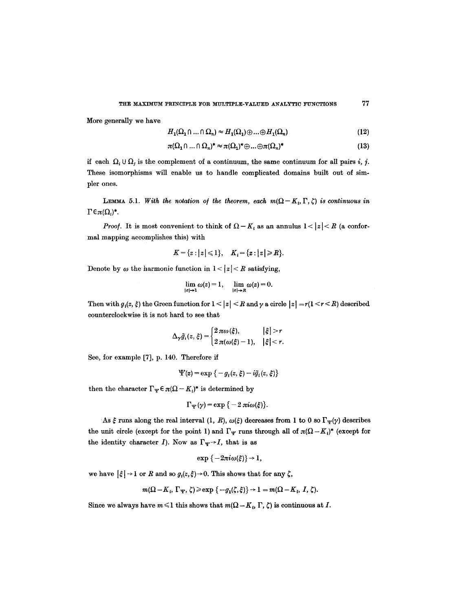More generally we have

$$
H_1(\Omega_1 \cap ... \cap \Omega_n) \approx H_1(\Omega_1) \oplus ... \oplus H_1(\Omega_n)
$$
\n(12)

$$
\pi(\Omega_1 \cap \dots \cap \Omega_n)^* \approx \pi(\Omega_1)^* \oplus \dots \oplus \pi(\Omega_n)^* \tag{13}
$$

if each  $\Omega_i \cup \Omega_j$  is the complement of a continuum, the same continuum for all pairs *i*, *j*. These isomorphisms will enable us to handle complicated domains built out of simpler ones.

LEMMA 5.1. *With the notation of the theorem, each m(* $\Omega - K_i$ *, F,*  $\zeta$ *) is continuous in*  $\Gamma \in \pi(\Omega_i)^*.$ 

*Proof.* It is most convenient to think of  $\Omega - K_t$  as an annulus  $1 < |z| < R$  (a conformal mapping accomplishes this) with

$$
K = \{z : |z| \leq 1\}, \quad K_i = \{z : |z| \geq R\}.
$$

Denote by  $\omega$  the harmonic function in  $1 < |z| < R$  satisfying,

$$
\lim_{|z|\to 1}\omega(z)=1,\quad \lim_{|z|\to R}\omega(z)=0.
$$

Then with  $g_i(z, \xi)$  the Green function for  $1 < |z| < R$  and  $\gamma$  a circle  $|z| = r(1 < r < R)$  described counterclockwise it is not hard to see that

$$
\Delta_{\gamma}\tilde{g}_i(z,\xi) = \begin{cases} 2 \pi \omega(\xi), & |\xi| > r \\ 2 \pi(\omega(\xi)-1), & |\xi| < r. \end{cases}
$$

See, for example [7], p. 140. Therefore if

$$
\Psi(z) = \exp \left\{-g_i(z,\xi) - i\tilde{g}_i(z,\xi)\right\}
$$

then the character  $\Gamma_{\Psi} \in \pi(\Omega - K_i)^*$  is determined by

$$
\Gamma_{\Psi}(\gamma) = \exp\{-2\pi i\omega(\xi)\}.
$$

As  $\xi$  runs along the real interval (1, R),  $\omega(\xi)$  decreases from 1 to 0 so  $\Gamma_{\Psi}(\gamma)$  describes the unit circle (except for the point 1) and  $\Gamma_{\Psi}$  runs through all of  $\pi(\Omega - K_i)^*$  (except for the identity character I). Now as  $\Gamma_{\Psi} \rightarrow I$ , that is as

$$
\exp\{-2\pi i\omega(\xi)\}\rightarrow 1,
$$

we have  $|\xi| \rightarrow 1$  or R and so  $g_i(z,\xi) \rightarrow 0$ . This shows that for any  $\zeta$ ,

$$
m(\Omega - K_i, \Gamma_{\Psi}, \zeta) \geqslant \exp \{-g_1(\zeta, \xi)\} \to 1 = m(\Omega - K_i, I, \zeta).
$$

Since we always have  $m \leq 1$  this shows that  $m(\Omega - K_t, \Gamma, \zeta)$  is continuous at I.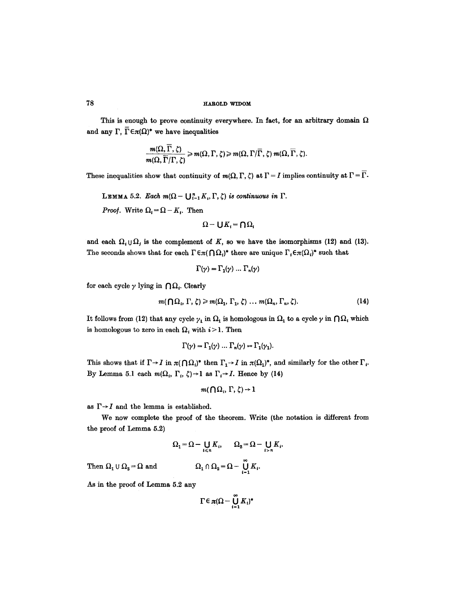## 78 HAROLD wU)OM

This is enough to prove continuity everywhere. In fact, for an arbitrary domain  $\Omega$ and any  $\Gamma$ ,  $\overline{\Gamma} \in \pi(\Omega)^*$  we have inequalities

$$
\frac{m(\Omega,\overline{\Gamma},\zeta)}{m(\Omega,\overline{\Gamma}/\Gamma,\zeta)} \geq m(\Omega,\Gamma,\zeta) \geq m(\Omega,\Gamma/\overline{\Gamma},\zeta) m(\Omega,\overline{\Gamma},\zeta).
$$

These inequalities show that continuity of  $m(\Omega, \Gamma, \zeta)$  at  $\Gamma = I$  implies continuity at  $\Gamma = \overline{\Gamma}$ .

LEMMA 5.2. *Each*  $m(\Omega - \bigcup_{i=1}^{n} K_i, \Gamma, \zeta)$  is continuous in  $\Gamma$ .

*Proof.* Write  $\Omega_i = \Omega - K_i$ . Then

$$
\Omega - \bigcup K_i = \bigcap \Omega_i
$$

and each  $\Omega_i \cup \Omega_j$  is the complement of K, so we have the isomorphisms (12) and (13). The seconds shows that for each  $\Gamma \in \pi(\bigcap \Omega_i)^*$  there are unique  $\Gamma_i \in \pi(\Omega_i)^*$  such that

$$
\Gamma(\gamma) = \Gamma_1(\gamma) \dots \Gamma_n(\gamma)
$$

for each cycle  $\gamma$  lying in  $\bigcap \Omega_i$ . Clearly

$$
m(\bigcap \Omega_i, \Gamma, \zeta) \geq m(\Omega_1, \Gamma_1, \zeta) \dots m(\Omega_n, \Gamma_n, \zeta).
$$
 (14)

It follows from (12) that any cycle  $\gamma_1$  in  $\Omega_1$  is homologous in  $\Omega_1$  to a cycle  $\gamma$  in  $\bigcap \Omega_i$  which is homologous to zero in each  $\Omega_i$  with  $i > 1$ . Then

$$
\Gamma(\gamma) = \Gamma_1(\gamma) \dots \Gamma_n(\gamma) = \Gamma_1(\gamma_1).
$$

This shows that if  $\Gamma \rightarrow I$  in  $\pi(\bigcap \Omega_i)^*$  then  $\Gamma_1 \rightarrow I$  in  $\pi(\Omega_1)^*$ , and similarly for the other  $\Gamma_i$ . By Lemma 5.1 each  $m(\Omega_i, \Gamma_i, \zeta) \rightarrow 1$  as  $\Gamma_i \rightarrow I$ . Hence by (14)

$$
m(\bigcap \Omega_i, \Gamma, \zeta) \to 1
$$

as  $\Gamma{\rightarrow}I$  and the lemma is established.

We now complete the proof of the theorem. Write (the notation is different from the proof of Lemma 5.2)

$$
\Omega_1 = \Omega - \bigcup_{i \le n} K_i, \qquad \Omega_2 = \Omega - \bigcup_{i > n} K_i.
$$

$$
\Omega_1 \cap \Omega_2 = \Omega - \bigcup_{i=1}^{\infty} K_i.
$$

Then  $\Omega_1 \cup \Omega_2 = \Omega$  and

As in the proof of Lemma 5.2 any

$$
\Gamma \in \pi (\Omega - \bigcup_{i=1}^{\infty} K_i)^*
$$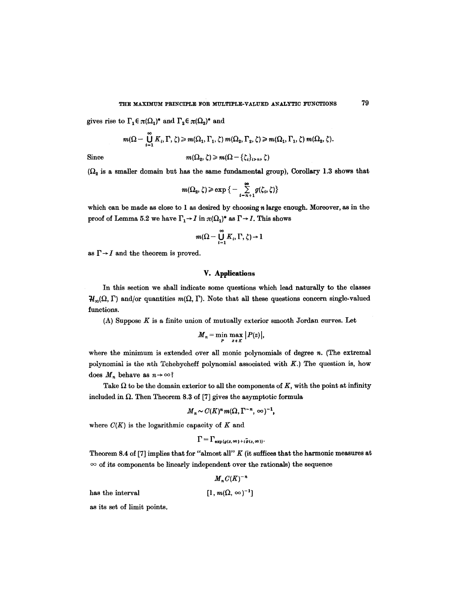gives rise to  $\Gamma_1 \in \pi(\Omega_1)^*$  and  $\Gamma_2 \in \pi(\Omega_2)^*$  and

$$
m(\Omega-\coprod_{i=1}^{\infty}K_i,\Gamma,\zeta)\geqslant m(\Omega_1,\Gamma_1,\zeta)\,m(\Omega_2,\Gamma_2,\zeta)\geqslant m(\Omega_1,\Gamma_1,\zeta)\,m(\Omega_2,\zeta).
$$

Since 
$$
m(\Omega_2, \zeta) \geq m(\Omega - {\zeta_i}_{i > n}, \zeta)
$$

 $(\Omega_2$  is a smaller domain but has the same fundamental group), Corollary 1.3 shows that

$$
m(\Omega_2,\zeta) \geqslant \exp\big\{-\sum_{i=n+1}^\infty g(\zeta_i,\zeta)\big\}
$$

which can be made as close to  $1$  as desired by choosing  $n$  large enough. Moreover, as in the proof of Lemma 5.2 we have  $\Gamma_1 \rightarrow I$  in  $\pi(\Omega_1)^*$  as  $\Gamma \rightarrow I$ . This shows

$$
m(\Omega-\bigcup_{i=1}^\infty K_i,\Gamma,\zeta)\!\to\! 1
$$

as  $\Gamma \rightarrow I$  and the theorem is proved.

## **V. Applications**

In this section we shall indicate some questions which lead naturally to the classes  $\mathcal{H}_{\infty}(\Omega, \Gamma)$  and/or quantities  $m(\Omega, \Gamma)$ . Note that all these questions concern single-valued functions.

 $(A)$  Suppose  $K$  is a finite union of mutually exterior smooth Jordan curves. Let

$$
M_n = \min_{P} \max_{z \in K} |P(z)|,
$$

where the minimum is extended over all monic polynomials of degree  $n$ . (The extremal polynomial is the  $nth$  Tchebycheff polynomial associated with  $K$ .) The question is, how does  $M_n$  behave as  $n \to \infty$ ?

Take  $\Omega$  to be the domain exterior to all the components of K, with the point at infinity included in  $\Omega$ . Then Theorem 8.3 of [7] gives the asymptotic formula

$$
M_n \sim C(K)^n m(\Omega, \Gamma^{-n}, \infty)^{-1},
$$

where  $C(K)$  is the logarithmic capacity of K and

$$
\Gamma=\Gamma_{\exp{g(z,\infty)+i\tilde{g}(z,\infty))}}.
$$

Theorem 8.4 of [7] implies that for "almost all"  $K$  (it suffices that the harmonic measures at  $\infty$  of its components be linearly independent over the rationals) the sequence

 $M_{n}C(K)^{-n}$ 

has the interval  $[1, m(\Omega, \infty)^{-1}]$ 

as its set of limit points.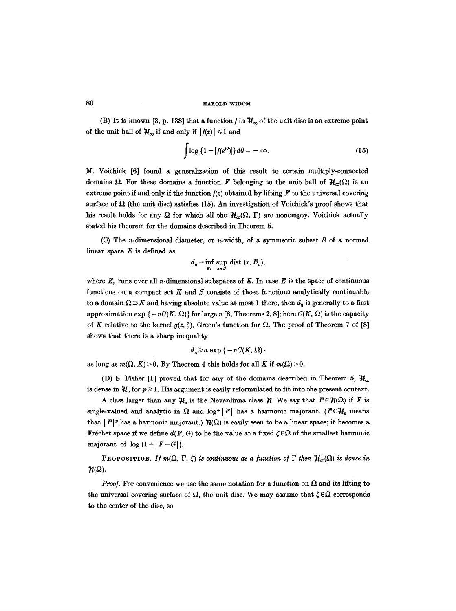(B) It is known [3, p. 138] that a function f in  $\mathcal{H}_{\infty}$  of the unit disc is an extreme point of the unit ball of  $H_{\infty}$  if and only if  $|f(z)| \leq 1$  and

$$
\int \log \left\{1 - |f(e^{i\theta})| \right\} d\theta = -\infty. \tag{15}
$$

M. Voichick [6] found a generalization of this result to certain multiply-connected domains  $\Omega$ . For these domains a function F belonging to the unit ball of  $H_{\alpha}(\Omega)$  is an extreme point if and only if the function  $f(z)$  obtained by lifting F to the universal covering surface of  $\Omega$  (the unit disc) satisfies (15). An investigation of Voichick's proof shows that his result holds for any  $\Omega$  for which all the  $H_{\alpha}(\Omega, \Gamma)$  are nonempty. Voichick actually stated his theorem for the domains described in Theorem 5.

(C) The *n*-dimensional diameter, or *n*-width, of a symmetric subset  $S$  of a normed linear space  $E$  is defined as

$$
d_n = \inf_{E_n} \sup_{x \in S} \text{dist}(x, E_n),
$$

where  $E_n$  runs over all *n*-dimensional subspaces of E. In case E is the space of continuous functions on a compact set  $K$  and  $S$  consists of those functions analytically continuable to a domain  $\Omega \supset K$  and having absolute value at most 1 there, then  $d_n$  is generally to a first approximation  $\exp \{-nC(K, \Omega)\}\$ for large n [8, Theorems 2, 8]; here  $C(K, \Omega)$  is the capacity of K relative to the kernel  $g(z, \zeta)$ , Green's function for  $\Omega$ . The proof of Theorem 7 of [8] shows that there is a sharp inequality

$$
d_n\!\geqslant\! a\,\exp\,\left\{ -nC(K,\,\Omega)\right\}
$$

as long as  $m(\Omega, K) > 0$ . By Theorem 4 this holds for all K if  $m(\Omega) > 0$ .

(D) S. Fisher [1] proved that for any of the domains described in Theorem 5,  $\mathcal{H}_{\infty}$ is dense in  $\mathcal{H}_p$  for  $p \geq 1$ . His argument is easily reformulated to fit into the present context.

A class larger than any  $H_p$  is the Nevanlinna class  $\mathcal{H}$ . We say that  $F \in \mathcal{H}(\Omega)$  if F is single-valued and analytic in  $\Omega$  and log+ | F| has a harmonic majorant. (FE $\mathcal{H}_p$  means that  $|F|^p$  has a harmonic majorant.)  $\mathcal{H}(\Omega)$  is easily seen to be a linear space; it becomes a Fréchet space if we define  $d(F, G)$  to be the value at a fixed  $\zeta \in \Omega$  of the smallest harmonic majorant of  $\log(1 + |F - G|)$ .

PROPOSITION. *If*  $m(\Omega, \Gamma, \zeta)$  is continuous as a function of  $\Gamma$  then  $\mathcal{H}_m(\Omega)$  is dense in  $\mathcal{H}(\Omega)$ .

*Proof.* For convenience we use the same notation for a function on  $\Omega$  and its lifting to the universal covering surface of  $\Omega$ , the unit disc. We may assume that  $\zeta \in \Omega$  corresponds to the center of the disc, so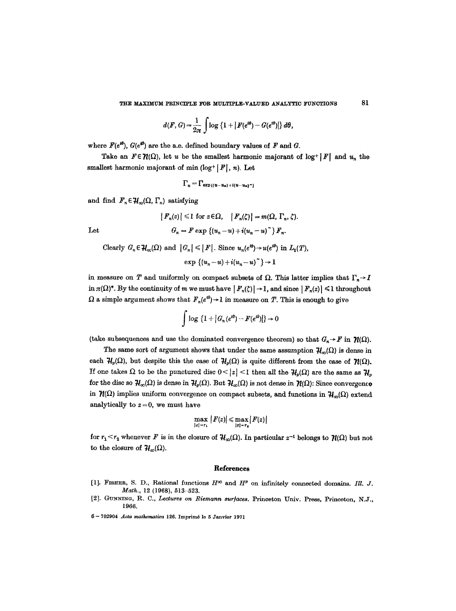$$
d(F, G) = \frac{1}{2\pi} \int \log \left\{ 1 + |F(e^{i\theta}) - G(e^{i\theta})| \right\} d\theta,
$$

where  $F(e^{i\theta})$ ,  $G(e^{i\theta})$  are the a.e. defined boundary values of F and G.

Take an  $F \in \mathcal{H}(\Omega)$ , let u be the smallest harmonic majorant of log<sup>+</sup>|F| and  $u_n$  the smallest harmonic majorant of min ( $log^+ |F|$ , n). Let

$$
\Gamma_n = \Gamma \exp \left\{ (u - u_n) + i(u - u_n)^n \right\}
$$

and find  $\mathbf{F}_n \in \mathcal{H}_\infty(\Omega, \Gamma_n)$  satisfying

$$
|F_n(z)| \leq 1 \text{ for } z \in \Omega, \quad |F_n(\zeta)| = m(\Omega, \Gamma_n, \zeta).
$$
  
Let 
$$
G_n = F \exp \{(u_n - u) + i(u_n - u)^{\gamma}\} F_n.
$$

Clearly  $G_n \in \mathcal{H}_{\infty}(\Omega)$  and  $|G_n| \leq |F|$ . Since  $u_n(e^{i\theta}) \to u(e^{i\theta})$  in  $L_1(T)$ ,

$$
\exp\left\{(u_n-u)+i(u_n-u)^{\sim}\right\}\rightarrow 1
$$

in measure on T and uniformly on compact subsets of  $\Omega$ . This latter implies that  $\Gamma_n \rightarrow I$ in  $\pi(\Omega)^*$ . By the continuity of m we must have  $|F_n(\zeta)| \to 1$ , and since  $|F_n(z)| \leq 1$  throughout  $\Omega$  a simple argument shows that  $F_n(e^{i\theta}) \to 1$  in measure on T. This is enough to give

$$
\int \log\left\{1+|\mathcal{G}_n(e^{i\theta})-F(e^{i\theta})|\right\}\to 0
$$

(take subsequences and use the dominated convergence theorem) so that  $G_n \rightarrow F$  in  $\mathcal{H}(\Omega)$ .

The same sort of argument shows that under the same assumption  $H_{\infty}(\Omega)$  is dense in each  $\mathcal{H}_p(\Omega)$ , but despite this the case of  $\mathcal{H}_p(\Omega)$  is quite different from the case of  $\mathcal{H}(\Omega)$ . If one takes  $\Omega$  to be the punctured disc  $0 < |z| < 1$  then all the  $\mathcal{H}_n(\Omega)$  are the same as  $\mathcal{H}_n$ for the disc so  $\mathcal{H}_{\infty}(\Omega)$  is dense in  $\mathcal{H}_{p}(\Omega)$ . But  $\mathcal{H}_{\infty}(\Omega)$  is not dense in  $\mathcal{H}(\Omega)$ : Since convergence in  $\mathcal{H}(\Omega)$  implies uniform convergence on compact subsets, and functions in  $\mathcal{H}_{\infty}(\Omega)$  extend analytically to  $z = 0$ , we must have

$$
\max_{|z|=r_1}|F(z)| \leq \max_{|z|=r_2}|F(z)|
$$

for  $r_1 < r_2$  whenever F is in the closure of  $\mathcal{H}_{\infty}(\Omega)$ . In particular  $z^{-1}$  belongs to  $\mathcal{H}(\Omega)$  but not to the closure of  $H_{\infty}(\Omega)$ .

#### **References**

- [1]. FISHER, S. D., Rational functions  $H^{\infty}$  and  $H^{p}$  on infinitely connected domains. *Ill. J. Math.,* 12 (1968), 513-523.
- [2]. GUNNING, R. C., *Lectures on Riemann sur/acea.* Princeton Univ. Press, Princeton, N.J., 1966.

6 -- 702904 *.4eta mathematica* 126. Imprim6 lo 5 Janvier 1971